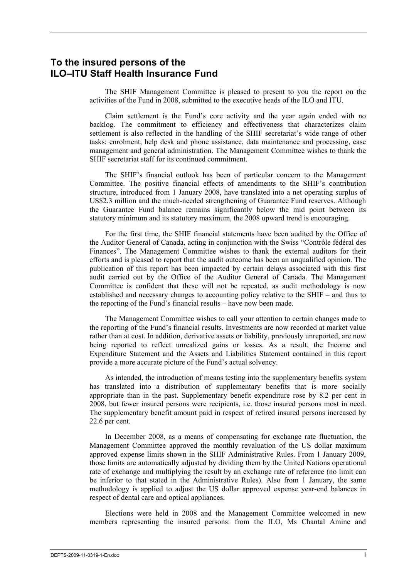# **To the insured persons of the ILO–ITU Staff Health Insurance Fund**

The SHIF Management Committee is pleased to present to you the report on the activities of the Fund in 2008, submitted to the executive heads of the ILO and ITU.

Claim settlement is the Fund's core activity and the year again ended with no backlog. The commitment to efficiency and effectiveness that characterizes claim settlement is also reflected in the handling of the SHIF secretariat's wide range of other tasks: enrolment, help desk and phone assistance, data maintenance and processing, case management and general administration. The Management Committee wishes to thank the SHIF secretariat staff for its continued commitment.

The SHIF's financial outlook has been of particular concern to the Management Committee. The positive financial effects of amendments to the SHIF's contribution structure, introduced from 1 January 2008, have translated into a net operating surplus of US\$2.3 million and the much-needed strengthening of Guarantee Fund reserves. Although the Guarantee Fund balance remains significantly below the mid point between its statutory minimum and its statutory maximum, the 2008 upward trend is encouraging.

For the first time, the SHIF financial statements have been audited by the Office of the Auditor General of Canada, acting in conjunction with the Swiss "Contrôle fédéral des Finances". The Management Committee wishes to thank the external auditors for their efforts and is pleased to report that the audit outcome has been an unqualified opinion. The publication of this report has been impacted by certain delays associated with this first audit carried out by the Office of the Auditor General of Canada. The Management Committee is confident that these will not be repeated, as audit methodology is now established and necessary changes to accounting policy relative to the SHIF – and thus to the reporting of the Fund's financial results – have now been made.

The Management Committee wishes to call your attention to certain changes made to the reporting of the Fund's financial results. Investments are now recorded at market value rather than at cost. In addition, derivative assets or liability, previously unreported, are now being reported to reflect unrealized gains or losses. As a result, the Income and Expenditure Statement and the Assets and Liabilities Statement contained in this report provide a more accurate picture of the Fund's actual solvency.

As intended, the introduction of means testing into the supplementary benefits system has translated into a distribution of supplementary benefits that is more socially appropriate than in the past. Supplementary benefit expenditure rose by 8.2 per cent in 2008, but fewer insured persons were recipients, i.e. those insured persons most in need. The supplementary benefit amount paid in respect of retired insured persons increased by 22.6 per cent.

In December 2008, as a means of compensating for exchange rate fluctuation, the Management Committee approved the monthly revaluation of the US dollar maximum approved expense limits shown in the SHIF Administrative Rules. From 1 January 2009, those limits are automatically adjusted by dividing them by the United Nations operational rate of exchange and multiplying the result by an exchange rate of reference (no limit can be inferior to that stated in the Administrative Rules). Also from 1 January, the same methodology is applied to adjust the US dollar approved expense year-end balances in respect of dental care and optical appliances.

Elections were held in 2008 and the Management Committee welcomed in new members representing the insured persons: from the ILO, Ms Chantal Amine and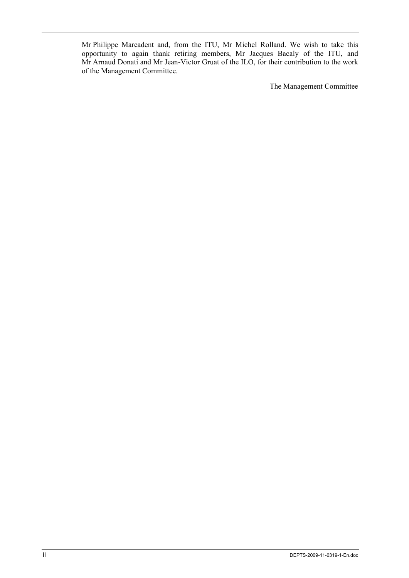Mr Philippe Marcadent and, from the ITU, Mr Michel Rolland. We wish to take this opportunity to again thank retiring members, Mr Jacques Bacaly of the ITU, and Mr Arnaud Donati and Mr Jean-Victor Gruat of the ILO, for their contribution to the work of the Management Committee.

The Management Committee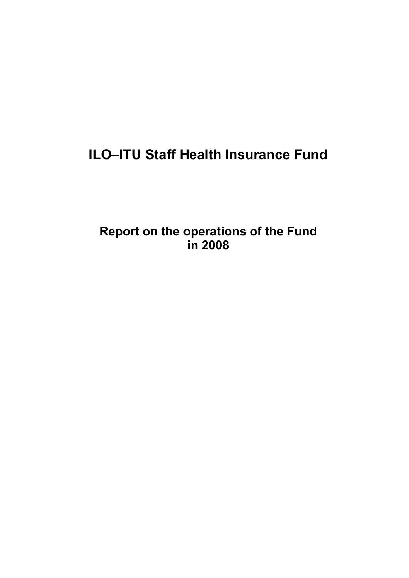# **ILO–ITU Staff Health Insurance Fund**

**Report on the operations of the Fund in 2008**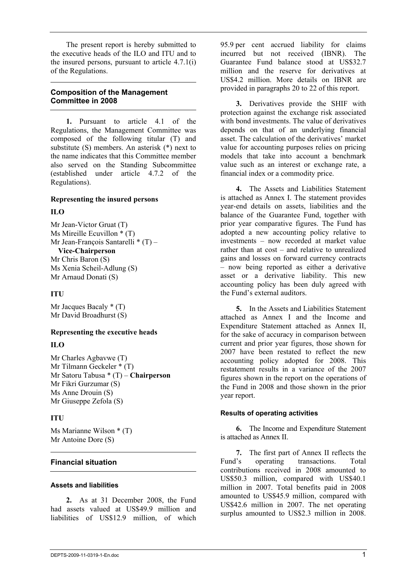The present report is hereby submitted to the executive heads of the ILO and ITU and to the insured persons, pursuant to article 4.7.1(i) of the Regulations.

# **Composition of the Management Committee in 2008**

**1.** Pursuant to article 4.1 of the Regulations, the Management Committee was composed of the following titular (T) and substitute (S) members. An asterisk (\*) next to the name indicates that this Committee member also served on the Standing Subcommittee (established under article 4.7.2 of the Regulations).

# **Representing the insured persons**

# **ILO**

Mr Jean-Victor Gruat (T) Ms Mireille Ecuvillon \* (T) Mr Jean-François Santarelli  $*(T)$  – **Vice-Chairperson** Mr Chris Baron (S) Ms Xenia Scheil-Adlung (S) Mr Arnaud Donati (S)

# **ITU**

Mr Jacques Bacaly  $*(T)$ Mr David Broadhurst (S)

## **Representing the executive heads**

# **ILO**

Mr Charles Agbavwe (T) Mr Tilmann Geckeler \* (T) Mr Satoru Tabusa \* (T) – **Chairperson** Mr Fikri Gurzumar (S) Ms Anne Drouin (S) Mr Giuseppe Zefola (S)

# **ITU**

Ms Marianne Wilson \* (T) Mr Antoine Dore (S)

# **Financial situation**

# **Assets and liabilities**

**2.** As at 31 December 2008, the Fund had assets valued at US\$49.9 million and liabilities of US\$12.9 million, of which 95.9 per cent accrued liability for claims incurred but not received (IBNR). The Guarantee Fund balance stood at US\$32.7 million and the reserve for derivatives at US\$4.2 million. More details on IBNR are provided in paragraphs 20 to 22 of this report.

**3.** Derivatives provide the SHIF with protection against the exchange risk associated with bond investments. The value of derivatives depends on that of an underlying financial asset. The calculation of the derivatives' market value for accounting purposes relies on pricing models that take into account a benchmark value such as an interest or exchange rate, a financial index or a commodity price.

**4.** The Assets and Liabilities Statement is attached as Annex I. The statement provides year-end details on assets, liabilities and the balance of the Guarantee Fund, together with prior year comparative figures. The Fund has adopted a new accounting policy relative to investments – now recorded at market value rather than at cost – and relative to unrealized gains and losses on forward currency contracts – now being reported as either a derivative asset or a derivative liability. This new accounting policy has been duly agreed with the Fund's external auditors.

**5.** In the Assets and Liabilities Statement attached as Annex I and the Income and Expenditure Statement attached as Annex II, for the sake of accuracy in comparison between current and prior year figures, those shown for 2007 have been restated to reflect the new accounting policy adopted for 2008. This restatement results in a variance of the 2007 figures shown in the report on the operations of the Fund in 2008 and those shown in the prior year report.

# **Results of operating activities**

**6.** The Income and Expenditure Statement is attached as Annex II.

**7.** The first part of Annex II reflects the Fund's operating transactions. Total contributions received in 2008 amounted to US\$50.3 million, compared with US\$40.1 million in 2007. Total benefits paid in 2008 amounted to US\$45.9 million, compared with US\$42.6 million in 2007. The net operating surplus amounted to US\$2.3 million in 2008.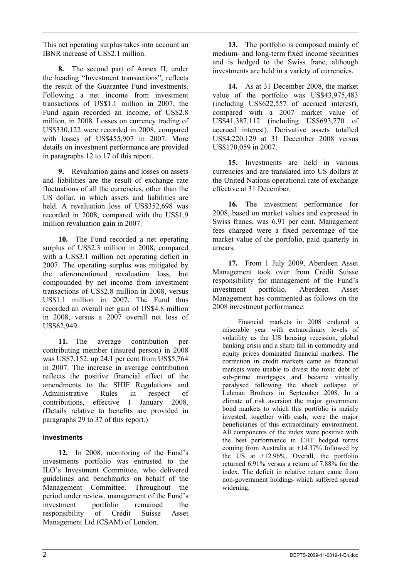This net operating surplus takes into account an IBNR increase of US\$2.1 million.

**8.** The second part of Annex II, under the heading "Investment transactions", reflects the result of the Guarantee Fund investments. Following a net income from investment transactions of US\$1.1 million in 2007, the Fund again recorded an income, of US\$2.8 million, in 2008. Losses on currency trading of US\$330,122 were recorded in 2008, compared with losses of US\$455,907 in 2007. More details on investment performance are provided in paragraphs 12 to 17 of this report.

**9.** Revaluation gains and losses on assets and liabilities are the result of exchange rate fluctuations of all the currencies, other than the US dollar, in which assets and liabilities are held. A revaluation loss of US\$352,698 was recorded in 2008, compared with the US\$1.9 million revaluation gain in 2007.

**10.** The Fund recorded a net operating surplus of US\$2.3 million in 2008, compared with a US\$3.1 million net operating deficit in 2007. The operating surplus was mitigated by the aforementioned revaluation loss, but compounded by net income from investment transactions of US\$2.8 million in 2008, versus US\$1.1 million in 2007. The Fund thus recorded an overall net gain of US\$4.8 million in 2008, versus a 2007 overall net loss of US\$62,949.

**11.** The average contribution per contributing member (insured person) in 2008 was US\$7,152, up 24.1 per cent from US\$5,764 in 2007. The increase in average contribution reflects the positive financial effect of the amendments to the SHIF Regulations and Administrative Rules in respect of contributions, effective 1 January 2008. (Details relative to benefits are provided in paragraphs 29 to 37 of this report.)

# **Investments**

**12.** In 2008, monitoring of the Fund's investments portfolio was entrusted to the ILO's Investment Committee, who delivered guidelines and benchmarks on behalf of the Management Committee. Throughout the period under review, management of the Fund's investment portfolio remained the responsibility of Crédit Suisse Asset Management Ltd (CSAM) of London.

**13.** The portfolio is composed mainly of medium- and long-term fixed income securities and is hedged to the Swiss franc, although investments are held in a variety of currencies.

**14.** As at 31 December 2008, the market value of the portfolio was US\$43,975,483 (including US\$622,557 of accrued interest), compared with a 2007 market value of US\$41,387,112 (including US\$693,770 of accrued interest). Derivative assets totalled US\$4,220,129 at 31 December 2008 versus US\$170,059 in 2007.

**15.** Investments are held in various currencies and are translated into US dollars at the United Nations operational rate of exchange effective at 31 December.

**16.** The investment performance for 2008, based on market values and expressed in Swiss francs, was 6.91 per cent. Management fees charged were a fixed percentage of the market value of the portfolio, paid quarterly in arrears.

**17.** From 1 July 2009, Aberdeen Asset Management took over from Crédit Suisse responsibility for management of the Fund's investment portfolio. Aberdeen Asset Management has commented as follows on the 2008 investment performance:

Financial markets in 2008 endured a miserable year with extraordinary levels of volatility as the US housing recession, global banking crisis and a sharp fall in commodity and equity prices dominated financial markets. The correction in credit markets came as financial markets were unable to divest the toxic debt of sub-prime mortgages and became virtually paralysed following the shock collapse of Lehman Brothers in September 2008. In a climate of risk aversion the major government bond markets to which this portfolio is mainly invested, together with cash, were the major beneficiaries of this extraordinary environment. All components of the index were positive with the best performance in CHF hedged terms coming from Australia at +14.37% followed by the US at +12.96%. Overall, the portfolio returned 6.91% versus a return of 7.88% for the index. The deficit in relative return came from non-government holdings which suffered spread widening.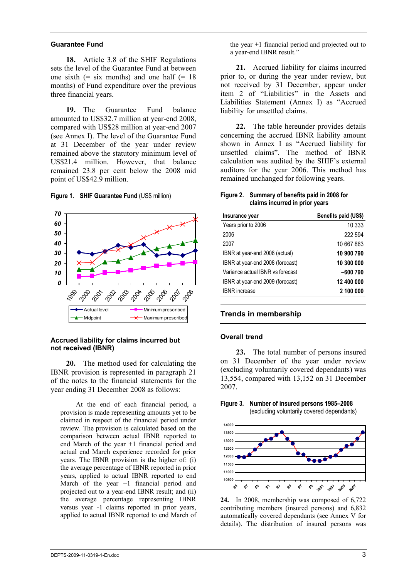### **Guarantee Fund**

**18.** Article 3.8 of the SHIF Regulations sets the level of the Guarantee Fund at between one sixth  $(=$  six months) and one half  $(= 18)$ months) of Fund expenditure over the previous three financial years.

**19.** The Guarantee Fund balance amounted to US\$32.7 million at year-end 2008, compared with US\$28 million at year-end 2007 (see Annex I). The level of the Guarantee Fund at 31 December of the year under review remained above the statutory minimum level of US\$21.4 million. However, that balance remained 23.8 per cent below the 2008 mid point of US\$42.9 million.





### **Accrued liability for claims incurred but not received (IBNR)**

**20.** The method used for calculating the IBNR provision is represented in paragraph 21 of the notes to the financial statements for the year ending 31 December 2008 as follows:

At the end of each financial period, a provision is made representing amounts yet to be claimed in respect of the financial period under review. The provision is calculated based on the comparison between actual IBNR reported to end March of the year +1 financial period and actual end March experience recorded for prior years. The IBNR provision is the higher of: (i) the average percentage of IBNR reported in prior years, applied to actual IBNR reported to end March of the year +1 financial period and projected out to a year-end IBNR result; and (ii) the average percentage representing IBNR versus year -1 claims reported in prior years, applied to actual IBNR reported to end March of the year +1 financial period and projected out to a year-end IBNR result."

**21.** Accrued liability for claims incurred prior to, or during the year under review, but not received by 31 December, appear under item 2 of "Liabilities" in the Assets and Liabilities Statement (Annex I) as "Accrued liability for unsettled claims.

**22.** The table hereunder provides details concerning the accrued IBNR liability amount shown in Annex I as "Accrued liability for unsettled claims". The method of IBNR calculation was audited by the SHIF's external auditors for the year 2006. This method has remained unchanged for following years.

### **Figure 2. Summary of benefits paid in 2008 for claims incurred in prior years**

| Insurance year                   | Benefits paid (US\$) |
|----------------------------------|----------------------|
| Years prior to 2006              | 10 333               |
| 2006                             | 222 594              |
| 2007                             | 10 667 863           |
| IBNR at year-end 2008 (actual)   | 10 900 790           |
| IBNR at year-end 2008 (forecast) | 10 300 000           |
| Variance actual IBNR vs forecast | -600 790             |
| IBNR at year-end 2009 (forecast) | 12 400 000           |
| <b>IBNR</b> increase             | 2 100 000            |

# **Trends in membership**

### **Overall trend**

**23.** The total number of persons insured on 31 December of the year under review (excluding voluntarily covered dependants) was 13,554, compared with 13,152 on 31 December 2007.

### **Figure 3. Number of insured persons 1985–2008**  (excluding voluntarily covered dependants)



**24.** In 2008, membership was composed of 6,722 contributing members (insured persons) and 6,832 automatically covered dependants (see Annex V for details). The distribution of insured persons was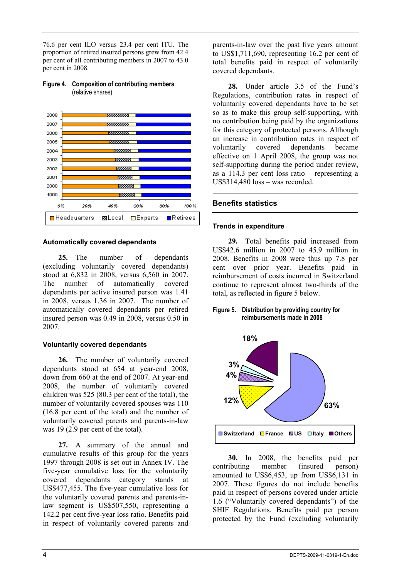76.6 per cent ILO versus 23.4 per cent ITU. The proportion of retired insured persons grew from 42.4 per cent of all contributing members in 2007 to 43.0 per cent in 2008.



### **Figure 4. Composition of contributing members**  (relative shares)

# **Automatically covered dependants**

**25.** The number of dependants (excluding voluntarily covered dependants) stood at 6,832 in 2008, versus 6,560 in 2007. The number of automatically covered dependants per active insured person was 1.41 in 2008, versus 1.36 in 2007. The number of automatically covered dependants per retired insured person was 0.49 in 2008, versus 0.50 in 2007.

## **Voluntarily covered dependants**

**26.** The number of voluntarily covered dependants stood at 654 at year-end 2008, down from 660 at the end of 2007. At year-end 2008, the number of voluntarily covered children was 525 (80.3 per cent of the total), the number of voluntarily covered spouses was 110 (16.8 per cent of the total) and the number of voluntarily covered parents and parents-in-law was 19 (2.9 per cent of the total).

**27.** A summary of the annual and cumulative results of this group for the years 1997 through 2008 is set out in Annex IV. The five-year cumulative loss for the voluntarily covered dependants category stands at US\$477,455. The five-year cumulative loss for the voluntarily covered parents and parents-inlaw segment is US\$507,550, representing a 142.2 per cent five-year loss ratio. Benefits paid in respect of voluntarily covered parents and parents-in-law over the past five years amount to US\$1,711,690, representing 16.2 per cent of total benefits paid in respect of voluntarily covered dependants.

**28.** Under article 3.5 of the Fund's Regulations, contribution rates in respect of voluntarily covered dependants have to be set so as to make this group self-supporting, with no contribution being paid by the organizations for this category of protected persons. Although an increase in contribution rates in respect of voluntarily covered dependants became effective on 1 April 2008, the group was not self-supporting during the period under review, as a 114.3 per cent loss ratio – representing a US\$314,480 loss – was recorded.

# **Benefits statistics**

## **Trends in expenditure**

**29.** Total benefits paid increased from US\$42.6 million in 2007 to 45.9 million in 2008. Benefits in 2008 were thus up 7.8 per cent over prior year. Benefits paid in reimbursement of costs incurred in Switzerland continue to represent almost two-thirds of the total, as reflected in figure 5 below.

### **Figure 5. Distribution by providing country for reimbursements made in 2008**



**30.** In 2008, the benefits paid per contributing member (insured person) amounted to US\$6,453, up from US\$6,131 in 2007. These figures do not include benefits paid in respect of persons covered under article 1.6 ("Voluntarily covered dependants") of the SHIF Regulations. Benefits paid per person protected by the Fund (excluding voluntarily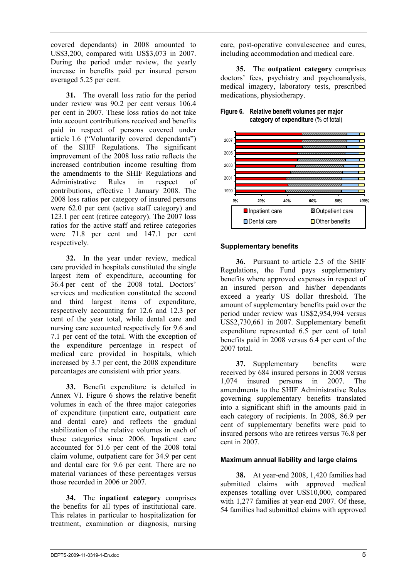covered dependants) in 2008 amounted to US\$3,200, compared with US\$3,073 in 2007. During the period under review, the yearly increase in benefits paid per insured person averaged 5.25 per cent.

**31.** The overall loss ratio for the period under review was 90.2 per cent versus 106.4 per cent in 2007. These loss ratios do not take into account contributions received and benefits paid in respect of persons covered under article 1.6 ("Voluntarily covered dependants") of the SHIF Regulations. The significant improvement of the 2008 loss ratio reflects the increased contribution income resulting from the amendments to the SHIF Regulations and Administrative Rules in respect of contributions, effective 1 January 2008. The 2008 loss ratios per category of insured persons were 62.0 per cent (active staff category) and 123.1 per cent (retiree category). The 2007 loss ratios for the active staff and retiree categories were 71.8 per cent and 147.1 per cent respectively.

**32.** In the year under review, medical care provided in hospitals constituted the single largest item of expenditure, accounting for 36.4 per cent of the 2008 total. Doctors' services and medication constituted the second and third largest items of expenditure, respectively accounting for 12.6 and 12.3 per cent of the year total, while dental care and nursing care accounted respectively for 9.6 and 7.1 per cent of the total. With the exception of the expenditure percentage in respect of medical care provided in hospitals, which increased by 3.7 per cent, the 2008 expenditure percentages are consistent with prior years.

**33.** Benefit expenditure is detailed in Annex VI. Figure 6 shows the relative benefit volumes in each of the three major categories of expenditure (inpatient care, outpatient care and dental care) and reflects the gradual stabilization of the relative volumes in each of these categories since 2006. Inpatient care accounted for 51.6 per cent of the 2008 total claim volume, outpatient care for 34.9 per cent and dental care for 9.6 per cent. There are no material variances of these percentages versus those recorded in 2006 or 2007.

**34.** The **inpatient category** comprises the benefits for all types of institutional care. This relates in particular to hospitalization for treatment, examination or diagnosis, nursing care, post-operative convalescence and cures, including accommodation and medical care.

**35.** The **outpatient category** comprises doctors' fees, psychiatry and psychoanalysis, medical imagery, laboratory tests, prescribed medications, physiotherapy.



# **category of expenditure** (% of total)

**Figure 6. Relative benefit volumes per major** 



# **Supplementary benefits**

**36.** Pursuant to article 2.5 of the SHIF Regulations, the Fund pays supplementary benefits where approved expenses in respect of an insured person and his/her dependants exceed a yearly US dollar threshold. The amount of supplementary benefits paid over the period under review was US\$2,954,994 versus US\$2,730,661 in 2007. Supplementary benefit expenditure represented 6.5 per cent of total benefits paid in 2008 versus 6.4 per cent of the 2007 total.

**37.** Supplementary benefits were received by 684 insured persons in 2008 versus 1,074 insured persons in 2007. The amendments to the SHIF Administrative Rules governing supplementary benefits translated into a significant shift in the amounts paid in each category of recipients. In 2008, 86.9 per cent of supplementary benefits were paid to insured persons who are retirees versus 76.8 per cent in 2007.

# **Maximum annual liability and large claims**

**38.** At year-end 2008, 1,420 families had submitted claims with approved medical expenses totalling over US\$10,000, compared with 1,277 families at year-end 2007. Of these, 54 families had submitted claims with approved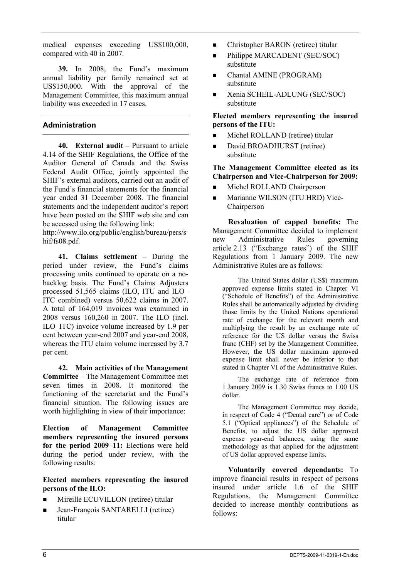medical expenses exceeding US\$100,000, compared with 40 in 2007.

**39.** In 2008, the Fund's maximum annual liability per family remained set at US\$150,000. With the approval of the Management Committee, this maximum annual liability was exceeded in 17 cases.

# **Administration**

**40. External audit** – Pursuant to article 4.14 of the SHIF Regulations, the Office of the Auditor General of Canada and the Swiss Federal Audit Office, jointly appointed the SHIF's external auditors, carried out an audit of the Fund's financial statements for the financial year ended 31 December 2008. The financial statements and the independent auditor's report have been posted on the SHIF web site and can be accessed using the following link:

http://www.ilo.org/public/english/bureau/pers/s hif/fs08.pdf.

**41. Claims settlement** – During the period under review, the Fund's claims processing units continued to operate on a nobacklog basis. The Fund's Claims Adjusters processed 51,565 claims (ILO, ITU and ILO– ITC combined) versus 50,622 claims in 2007. A total of 164,019 invoices was examined in 2008 versus 160,260 in 2007. The ILO (incl. ILO–ITC) invoice volume increased by 1.9 per cent between year-end 2007 and year-end 2008, whereas the ITU claim volume increased by 3.7 per cent.

**42. Main activities of the Management Committee** – The Management Committee met seven times in 2008. It monitored the functioning of the secretariat and the Fund's financial situation. The following issues are worth highlighting in view of their importance:

**Election of Management Committee members representing the insured persons for the period 2009–11:** Elections were held during the period under review, with the following results:

# **Elected members representing the insured persons of the ILO:**

- Mireille ECUVILLON (retiree) titular
- Jean-François SANTARELLI (retiree) titular
- Christopher BARON (retiree) titular
- Philippe MARCADENT (SEC/SOC) substitute
- Chantal AMINE (PROGRAM) substitute
- **EXenia SCHEIL-ADLUNG (SEC/SOC)** substitute

# **Elected members representing the insured persons of the ITU:**

- **Michel ROLLAND** (retiree) titular
- David BROADHURST (retiree) substitute

### **The Management Committee elected as its Chairperson and Vice-Chairperson for 2009:**

- **Michel ROLLAND Chairperson**
- **Marianne WILSON (ITU HRD) Vice-**Chairperson

**Revaluation of capped benefits:** The Management Committee decided to implement new Administrative Rules governing article 2.13 ("Exchange rates") of the SHIF Regulations from 1 January 2009. The new Administrative Rules are as follows:

The United States dollar (US\$) maximum approved expense limits stated in Chapter VI ("Schedule of Benefits") of the Administrative Rules shall be automatically adjusted by dividing those limits by the United Nations operational rate of exchange for the relevant month and multiplying the result by an exchange rate of reference for the US dollar versus the Swiss franc (CHF) set by the Management Committee. However, the US dollar maximum approved expense limit shall never be inferior to that stated in Chapter VI of the Administrative Rules.

The exchange rate of reference from 1 January 2009 is 1.30 Swiss francs to 1.00 US dollar.

The Management Committee may decide, in respect of Code 4 ("Dental care") or of Code 5.1 ("Optical appliances") of the Schedule of Benefits, to adjust the US dollar approved expense year-end balances, using the same methodology as that applied for the adjustment of US dollar approved expense limits.

**Voluntarily covered dependants:** To improve financial results in respect of persons insured under article 1.6 of the SHIF Regulations, the Management Committee decided to increase monthly contributions as follows: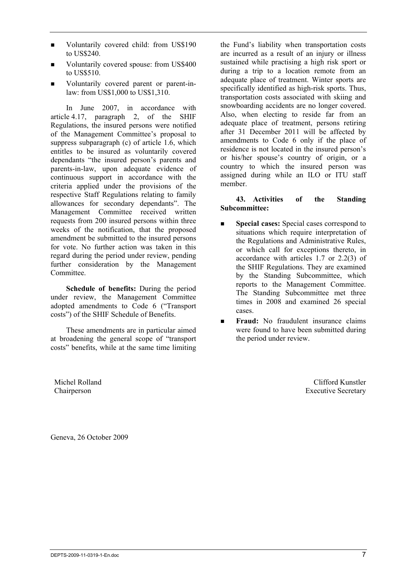Michel Rolland Chairperson

Geneva, 26 October 2009

DEPTS-2009-11-0319-1-En.doc 7

- Voluntarily covered child: from US\$190 to US\$240.
- Voluntarily covered spouse: from US\$400 to US\$510.
- Voluntarily covered parent or parent-inlaw: from US\$1,000 to US\$1,310.

In June 2007, in accordance with article 4.17, paragraph 2, of the SHIF Regulations, the insured persons were notified of the Management Committee's proposal to suppress subparagraph (c) of article 1.6, which entitles to be insured as voluntarily covered dependants "the insured person's parents and parents-in-law, upon adequate evidence of continuous support in accordance with the criteria applied under the provisions of the respective Staff Regulations relating to family allowances for secondary dependants". The Management Committee received written requests from 200 insured persons within three weeks of the notification, that the proposed amendment be submitted to the insured persons for vote. No further action was taken in this regard during the period under review, pending further consideration by the Management Committee.

**Schedule of benefits:** During the period under review, the Management Committee adopted amendments to Code 6 ("Transport costs") of the SHIF Schedule of Benefits.

These amendments are in particular aimed at broadening the general scope of "transport costs" benefits, while at the same time limiting the Fund's liability when transportation costs are incurred as a result of an injury or illness sustained while practising a high risk sport or during a trip to a location remote from an adequate place of treatment. Winter sports are specifically identified as high-risk sports. Thus, transportation costs associated with skiing and snowboarding accidents are no longer covered. Also, when electing to reside far from an adequate place of treatment, persons retiring after 31 December 2011 will be affected by amendments to Code 6 only if the place of residence is not located in the insured person's or his/her spouse's country of origin, or a country to which the insured person was assigned during while an ILO or ITU staff member.

# **43. Activities of the Standing Subcommittee:**

- **Special cases:** Special cases correspond to situations which require interpretation of the Regulations and Administrative Rules, or which call for exceptions thereto, in accordance with articles 1.7 or 2.2(3) of the SHIF Regulations. They are examined by the Standing Subcommittee, which reports to the Management Committee. The Standing Subcommittee met three times in 2008 and examined 26 special cases.
- **Fraud:** No fraudulent insurance claims were found to have been submitted during the period under review.

Clifford Kunstler Executive Secretary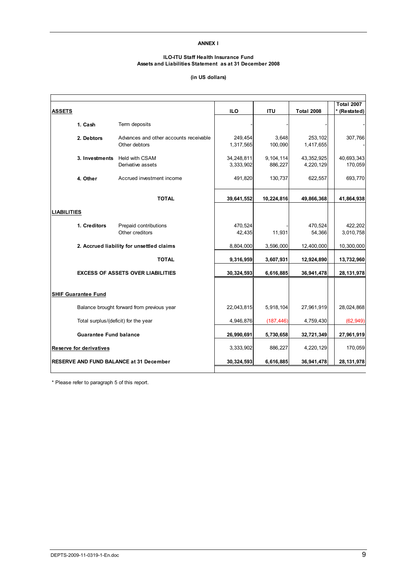### **ANNEX I**

### **ILO-ITU Staff Health Insurance Fund Assets and Liabilities Statement as at 31 December 2008**

### **(in US dollars)**

| <b>ASSETS</b>      |                                      |                                                         | <b>ILO</b>              | <b>ITU</b>           | <b>Total 2008</b>       | <b>Total 2007</b><br>(Restated) |
|--------------------|--------------------------------------|---------------------------------------------------------|-------------------------|----------------------|-------------------------|---------------------------------|
|                    |                                      |                                                         |                         |                      |                         |                                 |
|                    | 1. Cash                              | Term deposits                                           |                         |                      |                         |                                 |
|                    | 2. Debtors                           | Advances and other accounts receivable<br>Other debtors | 249,454<br>1,317,565    | 3,648<br>100,090     | 253,102<br>1,417,655    | 307,766                         |
|                    | 3. Investments                       | <b>Held with CSAM</b><br>Derivative assets              | 34,248,811<br>3,333,902 | 9,104,114<br>886,227 | 43,352,925<br>4,220,129 | 40,693,343<br>170,059           |
|                    | 4. Other                             | Accrued investment income                               | 491,820                 | 130,737              | 622,557                 | 693,770                         |
|                    |                                      | <b>TOTAL</b>                                            | 39,641,552              | 10,224,816           | 49,866,368              | 41,864,938                      |
| <b>LIABILITIES</b> |                                      |                                                         |                         |                      |                         |                                 |
|                    | 1. Creditors                         | Prepaid contributions<br>Other creditors                | 470,524<br>42,435       | 11,931               | 470,524<br>54,366       | 422,202<br>3,010,758            |
|                    |                                      | 2. Accrued liability for unsettled claims               | 8,804,000               | 3,596,000            | 12,400,000              | 10,300,000                      |
|                    |                                      | <b>TOTAL</b>                                            | 9,316,959               | 3,607,931            | 12,924,890              | 13,732,960                      |
|                    |                                      | <b>EXCESS OF ASSETS OVER LIABILITIES</b>                | 30,324,593              | 6,616,885            | 36,941,478              | 28, 131, 978                    |
|                    | <b>SHIF Guarantee Fund</b>           |                                                         |                         |                      |                         |                                 |
|                    |                                      | Balance brought forward from previous year              | 22,043,815              | 5,918,104            | 27,961,919              | 28,024,868                      |
|                    | Total surplus/(deficit) for the year |                                                         | 4,946,876               | (187, 446)           | 4,759,430               | (62, 949)                       |
|                    | <b>Guarantee Fund balance</b>        |                                                         | 26,990,691              | 5,730,658            | 32,721,349              | 27,961,919                      |
|                    | Reserve for derivatives              |                                                         | 3,333,902               | 886,227              | 4,220,129               | 170,059                         |
|                    |                                      | <b>RESERVE AND FUND BALANCE at 31 December</b>          | 30,324,593              | 6,616,885            | 36,941,478              | 28, 131, 978                    |
|                    |                                      |                                                         |                         |                      |                         |                                 |

\* Please refer to paragraph 5 of this report.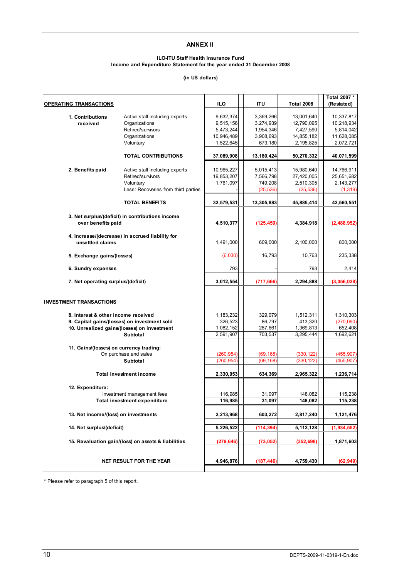### **ANNEX II**

### **ILO-ITU Staff Health Insurance Fund Income and Expenditure Statement for the year ended 31 December 2008**

### **(in US dollars)**

| OPERATING TRANSACTIONS                  |                                                                                             | <b>ILO</b>           | ITU          | <b>Total 2008</b>    | Total 2007 *<br>(Restated) |
|-----------------------------------------|---------------------------------------------------------------------------------------------|----------------------|--------------|----------------------|----------------------------|
|                                         |                                                                                             |                      |              |                      |                            |
| 1. Contributions                        | Active staff including experts                                                              | 9,632,374            | 3,369,266    | 13,001,640           | 10,337,817                 |
| received                                | Organizations                                                                               | 9,515,156            | 3,274,939    | 12,790,095           | 10,218,934                 |
|                                         | Retired/survivors                                                                           | 5,473,244            | 1,954,346    | 7,427,590            | 5,814,042                  |
|                                         | Organizations                                                                               | 10,946,489           | 3,908,693    | 14,855,182           | 11,628,085                 |
|                                         | Voluntary                                                                                   | 1,522,645            | 673,180      | 2, 195, 825          | 2,072,721                  |
|                                         | <b>TOTAL CONTRIBUTIONS</b>                                                                  | 37,089,908           | 13, 180, 424 | 50,270,332           | 40,071,599                 |
|                                         |                                                                                             |                      |              |                      |                            |
| 2. Benefits paid                        | Active staff including experts                                                              | 10,965,227           | 5,015,413    | 15,980,640           | 14,766,911                 |
|                                         | Retired/survivors                                                                           | 19,853,207           | 7,566,798    | 27,420,005           | 25,651,682                 |
|                                         | Voluntary                                                                                   | 1,761,097            | 749,208      | 2,510,305            | 2,143,277                  |
|                                         | Less: Recoveries from third parties                                                         |                      | (25, 536)    | (25, 536)            | (1, 319)                   |
|                                         | <b>TOTAL BENEFITS</b>                                                                       | 32,579,531           | 13,305,883   | 45,885,414           | 42,560,551                 |
|                                         |                                                                                             |                      |              |                      |                            |
| over benefits paid                      | 3. Net surplus/(deficit) in contributions income                                            | 4,510,377            | (125, 459)   | 4,384,918            | (2,488,952)                |
|                                         | 4. Increase/(decrease) in accrued liability for                                             |                      |              |                      |                            |
| unsettled claims                        |                                                                                             | 1,491,000            | 609,000      | 2,100,000            | 800,000                    |
| 5. Exchange gains/(losses)              |                                                                                             | (6,030)              | 16,793       | 10,763               | 235,338                    |
| 6. Sundry expenses                      |                                                                                             | 793                  |              | 793                  | 2,414                      |
| 7. Net operating surplus/(deficit)      |                                                                                             | 3,012,554            | (717, 666)   | 2,294,888            | (3,056,028)                |
|                                         |                                                                                             |                      |              |                      |                            |
| <b>INVESTMENT TRANSACTIONS</b>          |                                                                                             |                      |              |                      |                            |
|                                         |                                                                                             |                      | 329,079      |                      |                            |
| 8. Interest & other income received     |                                                                                             | 1,183,232<br>326,523 | 86,797       | 1,512,311<br>413,320 | 1,310,303<br>(270,090)     |
|                                         | 9. Capital gains/(losses) on investment sold<br>10. Unrealized gains/(losses) on investment | 1,082,152            | 287,661      | 1,369,813            | 652,408                    |
|                                         | <b>Subtotal</b>                                                                             | 2,591,907            | 703,537      | 3,295,444            | 1,692,621                  |
|                                         |                                                                                             |                      |              |                      |                            |
| 11. Gains/(losses) on currency trading: |                                                                                             |                      |              |                      |                            |
|                                         | On purchase and sales                                                                       | (260, 954)           | (69, 168)    | (330, 122)           | (455, 907)                 |
|                                         | Subtotal                                                                                    | (260, 954)           | (69, 168)    | (330, 122)           | (455, 907)                 |
|                                         |                                                                                             |                      |              |                      |                            |
|                                         | <b>Total investment income</b>                                                              | 2,330,953            | 634,369      | 2,965,322            | 1,236,714                  |
|                                         |                                                                                             |                      |              |                      |                            |
| 12. Expenditure:                        |                                                                                             |                      | 31,097       |                      |                            |
|                                         | Investment management fees                                                                  | 116,985<br>116,985   | 31,097       | 148,082<br>148,082   | 115,238<br>115,238         |
|                                         | <b>Total investment expenditure</b>                                                         |                      |              |                      |                            |
| 13. Net income/(loss) on investments    |                                                                                             | 2,213,968            | 603,272      | 2,817,240            | 1,121,476                  |
| 14. Net surplus/(deficit)               |                                                                                             | 5,226,522            | (114, 394)   | 5, 112, 128          | (1, 934, 552)              |
|                                         | 15. Revaluation gain/(loss) on assets & liabilities                                         | (279, 646)           | (73, 052)    | (352, 698)           | 1,871,603                  |
|                                         |                                                                                             |                      |              |                      |                            |
|                                         | NET RESULT FOR THE YEAR                                                                     | 4,946,876            | (187, 446)   | 4,759,430            | (62, 949)                  |

\* Please refer to paragraph 5 of this report.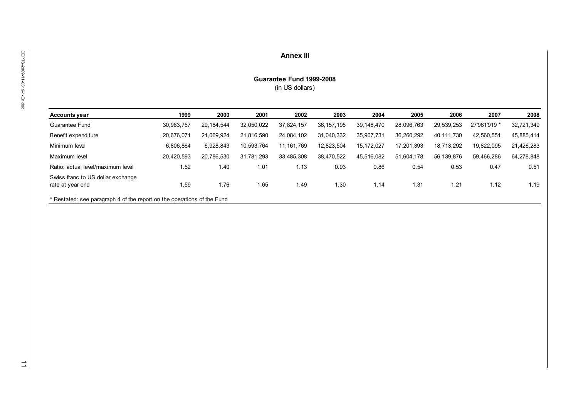| Guarantee Fund 1999-2008<br>(in US dollars)<br>1999<br>2000<br>2002<br>2003<br>2004<br>2005<br>2007<br>2001<br>2006<br><b>Accounts year</b><br>Guarantee Fund<br>30,963,757<br>29, 184, 544<br>32,050,022<br>37,824,157<br>36, 157, 195<br>39, 148, 470<br>28,096,763<br>29,539,253<br>27'961'919 *<br>32,721,349<br>Benefit expenditure<br>20,676,071<br>21,069,924<br>21,816,590<br>24,084,102<br>31,040,332<br>35,907,731<br>36,260,292<br>40, 111, 730<br>42,560,551<br>45,885,414<br>Minimum level<br>6,806,864<br>6,928,843<br>10,593,764<br>11, 161, 769<br>12,823,504<br>15, 172, 027<br>17,201,393<br>18,713,292<br>19,822,095<br>21,426,283<br>Maximum level<br>20,420,593<br>20,786,530<br>31,781,293<br>33,485,308<br>38,470,522<br>45,516,082<br>51,604,178<br>56,139,876<br>59,466,286<br>64,278,848<br>Ratio: actual level/maximum level<br>1.52<br>1.40<br>1.01<br>1.13<br>0.93<br>0.86<br>0.54<br>0.53<br>0.47<br>Swiss franc to US dollar exchange<br>1.59<br>rate at year end<br>1.76<br>1.65<br>1.49<br>1.30<br>1.14<br>1.31<br>1.21<br>1.12<br>* Restated: see paragraph 4 of the report on the operations of the Fund |
|---------------------------------------------------------------------------------------------------------------------------------------------------------------------------------------------------------------------------------------------------------------------------------------------------------------------------------------------------------------------------------------------------------------------------------------------------------------------------------------------------------------------------------------------------------------------------------------------------------------------------------------------------------------------------------------------------------------------------------------------------------------------------------------------------------------------------------------------------------------------------------------------------------------------------------------------------------------------------------------------------------------------------------------------------------------------------------------------------------------------------------------------|
|                                                                                                                                                                                                                                                                                                                                                                                                                                                                                                                                                                                                                                                                                                                                                                                                                                                                                                                                                                                                                                                                                                                                             |
|                                                                                                                                                                                                                                                                                                                                                                                                                                                                                                                                                                                                                                                                                                                                                                                                                                                                                                                                                                                                                                                                                                                                             |
|                                                                                                                                                                                                                                                                                                                                                                                                                                                                                                                                                                                                                                                                                                                                                                                                                                                                                                                                                                                                                                                                                                                                             |
|                                                                                                                                                                                                                                                                                                                                                                                                                                                                                                                                                                                                                                                                                                                                                                                                                                                                                                                                                                                                                                                                                                                                             |
|                                                                                                                                                                                                                                                                                                                                                                                                                                                                                                                                                                                                                                                                                                                                                                                                                                                                                                                                                                                                                                                                                                                                             |
|                                                                                                                                                                                                                                                                                                                                                                                                                                                                                                                                                                                                                                                                                                                                                                                                                                                                                                                                                                                                                                                                                                                                             |
|                                                                                                                                                                                                                                                                                                                                                                                                                                                                                                                                                                                                                                                                                                                                                                                                                                                                                                                                                                                                                                                                                                                                             |
|                                                                                                                                                                                                                                                                                                                                                                                                                                                                                                                                                                                                                                                                                                                                                                                                                                                                                                                                                                                                                                                                                                                                             |
|                                                                                                                                                                                                                                                                                                                                                                                                                                                                                                                                                                                                                                                                                                                                                                                                                                                                                                                                                                                                                                                                                                                                             |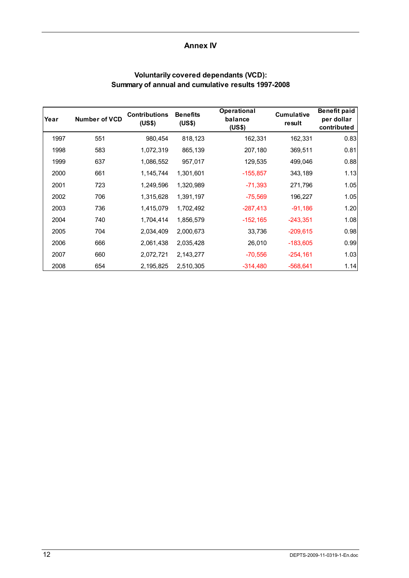# **Annex IV**

| Year | <b>Number of VCD</b> | <b>Contributions</b><br>(US\$) | <b>Benefits</b><br>(US\$) | <b>Operational</b><br>balance<br>(US\$) | <b>Cumulative</b><br>result | <b>Benefit paid</b><br>per dollar<br>contributed |
|------|----------------------|--------------------------------|---------------------------|-----------------------------------------|-----------------------------|--------------------------------------------------|
| 1997 | 551                  | 980,454                        | 818,123                   | 162,331                                 | 162,331                     | 0.83                                             |
| 1998 | 583                  | 1,072,319                      | 865,139                   | 207,180                                 | 369,511                     | 0.81                                             |
| 1999 | 637                  | 1,086,552                      | 957,017                   | 129,535                                 | 499,046                     | 0.88                                             |
| 2000 | 661                  | 1, 145, 744                    | 1,301,601                 | $-155,857$                              | 343,189                     | 1.13                                             |
| 2001 | 723                  | 1,249,596                      | 1,320,989                 | $-71,393$                               | 271,796                     | 1.05                                             |
| 2002 | 706                  | 1,315,628                      | 1,391,197                 | $-75,569$                               | 196,227                     | 1.05                                             |
| 2003 | 736                  | 1,415,079                      | 1,702,492                 | $-287,413$                              | $-91,186$                   | 1.20                                             |
| 2004 | 740                  | 1,704,414                      | 1,856,579                 | $-152, 165$                             | $-243,351$                  | 1.08                                             |
| 2005 | 704                  | 2,034,409                      | 2,000,673                 | 33,736                                  | $-209,615$                  | 0.98                                             |
| 2006 | 666                  | 2,061,438                      | 2,035,428                 | 26,010                                  | $-183,605$                  | 0.99                                             |
| 2007 | 660                  | 2,072,721                      | 2,143,277                 | $-70,556$                               | $-254, 161$                 | 1.03                                             |
| 2008 | 654                  | 2,195,825                      | 2,510,305                 | $-314,480$                              | $-568,641$                  | 1.14                                             |

# **Voluntarily covered dependants (VCD): Summary of annual and cumulative results 1997-2008**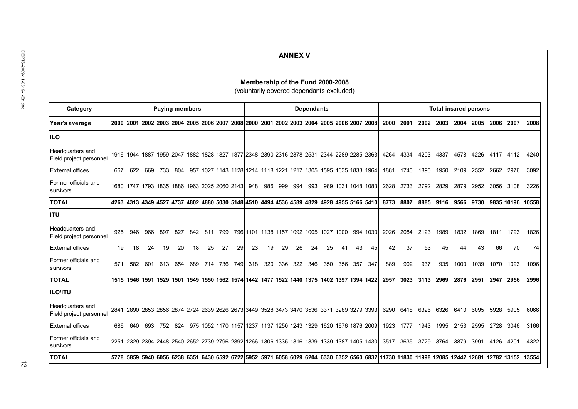| Category                                    | <b>Paying members</b> |     |     |     |     |                                              |     |             |    | <b>Dependants</b> |    |                     |    |     |     |    |                                                                                           | <b>Total insured persons</b> |      |           |      |           |                          |                                      |                                                                                                                                                 |      |
|---------------------------------------------|-----------------------|-----|-----|-----|-----|----------------------------------------------|-----|-------------|----|-------------------|----|---------------------|----|-----|-----|----|-------------------------------------------------------------------------------------------|------------------------------|------|-----------|------|-----------|--------------------------|--------------------------------------|-------------------------------------------------------------------------------------------------------------------------------------------------|------|
| Year's average                              |                       |     |     |     |     |                                              |     |             |    |                   |    |                     |    |     |     |    | 2000 2001 2002 2003 2004 2005 2006 2007 2008 2000 2001 2002 2003 2004 2005 2006 2007 2008 |                              | 2000 | 2001      |      |           | 2002 2003 2004 2005      |                                      | 2006 2007                                                                                                                                       |      |
| <b>IILO</b>                                 |                       |     |     |     |     |                                              |     |             |    |                   |    |                     |    |     |     |    |                                                                                           |                              |      |           |      |           |                          |                                      |                                                                                                                                                 |      |
| Headquarters and<br>Field project personnel |                       |     |     |     |     |                                              |     |             |    |                   |    |                     |    |     |     |    | 1916 1944 1887 1959 2047 1882 1828 1827 1877 2348 2390 2316 2378 2531 2344 2289 2285 2363 |                              | 4264 | 4334      |      |           | 4203 4337 4578 4226      |                                      | 4117 4112                                                                                                                                       |      |
| <b>External offices</b>                     | 667                   | 622 | 669 |     |     |                                              |     |             |    |                   |    |                     |    |     |     |    | 733 804 957 1027 1143 1128 1214 1118 1221 1217 1305 1595 1635 1833 1964                   |                              | 1881 | 1740      | 1890 | 1950      | 2109                     | 2552                                 | 2662 2976                                                                                                                                       |      |
| Former officials and<br>survivors           |                       |     |     |     |     | 1680 1747 1793 1835 1886 1963 2025 2060 2143 |     |             |    | 948               |    | 986 999 994         |    | 993 |     |    | 989 1031 1048 1083                                                                        |                              |      | 2628 2733 |      | 2792 2829 | 2879                     | 2952                                 | 3056                                                                                                                                            | 3108 |
| <b>TOTAL</b>                                |                       |     |     |     |     |                                              |     |             |    |                   |    |                     |    |     |     |    | 4263 4313 4349 4527 4737 4802 4880 5030 5148 4510 4494 4536 4589 4829 4928 4955 5166 5410 |                              |      | 8773 8807 |      |           |                          | 8885 9116 9566 9730 9835 10196 10558 |                                                                                                                                                 |      |
| <b>ITU</b>                                  |                       |     |     |     |     |                                              |     |             |    |                   |    |                     |    |     |     |    |                                                                                           |                              |      |           |      |           |                          |                                      |                                                                                                                                                 |      |
| Headquarters and<br>Field project personnel | 925                   | 946 | 966 | 897 | 827 | 842                                          | 811 | 799         |    |                   |    |                     |    |     |     |    | 796 1101 1138 1157 1092 1005 1027 1000 994 1030                                           |                              | 2026 | 2084      | 2123 | 1989      | 1832                     | 1869                                 | 1811 1793                                                                                                                                       |      |
| <b>External offices</b>                     | 19                    | 18  | 24  | 19  | 20  | 18                                           | 25  | 27          | 29 | 23                | 19 | 29                  | 26 | 24  | 25  | 41 | 43                                                                                        | 45                           | 42   | 37        | 53   | 45        | 44                       | 43                                   | 66                                                                                                                                              | 70   |
| Former officials and<br>survivors           | 571                   | 582 | 601 |     |     | 613 654 689                                  |     | 714 736 749 |    |                   |    | 318 320 336 322 346 |    |     | 350 |    | 356 357 347                                                                               |                              | 889  | 902       | 937  | 935       | 1000                     | 1039                                 | 1070                                                                                                                                            | 1093 |
| <b>TOTAL</b>                                |                       |     |     |     |     |                                              |     |             |    |                   |    |                     |    |     |     |    | 1515 1546 1591 1529 1501 1549 1550 1562 1574 1442 1477 1522 1440 1375 1402 1397 1394 1422 |                              | 2957 | 3023      |      |           |                          | 3113 2969 2876 2951                  | 2947                                                                                                                                            | 2956 |
| <b>ILO/ITU</b>                              |                       |     |     |     |     |                                              |     |             |    |                   |    |                     |    |     |     |    |                                                                                           |                              |      |           |      |           |                          |                                      |                                                                                                                                                 |      |
| Headquarters and<br>Field project personnel |                       |     |     |     |     |                                              |     |             |    |                   |    |                     |    |     |     |    | 2841 2890 2853 2856 2874 2724 2639 2626 2673 3449 3528 3473 3470 3536 3371 3289 3279 3393 |                              | 6290 | 6418      |      |           | 6326 6326 6410 6095      |                                      | 5928                                                                                                                                            | 5905 |
| <b>External offices</b>                     | 686                   | 640 |     |     |     |                                              |     |             |    |                   |    |                     |    |     |     |    | 693 752 824 975 1052 1170 1157 1237 1137 1250 1243 1329 1620 1676 1876 2009               |                              |      | 1923 1777 | 1943 |           | 1995 2153                | 2595                                 | 2728                                                                                                                                            | 3046 |
| Former officials and<br>survivors           |                       |     |     |     |     |                                              |     |             |    |                   |    |                     |    |     |     |    | 2251 2329 2394 2448 2540 2652 2739 2796 2892 1266 1306 1335 1316 1339 1339 1387 1405 1430 |                              |      |           |      |           | 3517 3635 3729 3764 3879 | 3991                                 | 4126 4201                                                                                                                                       |      |
|                                             |                       |     |     |     |     |                                              |     |             |    |                   |    |                     |    |     |     |    |                                                                                           |                              |      |           |      |           |                          |                                      | 5778 5859 5940 6056 6238 6351 6430 6592 6722 5952 5971 6058 6029 6204 6330 6352 6560 6832 11730 11830 11998 12085 12442 12681 12782 13152 13554 |      |